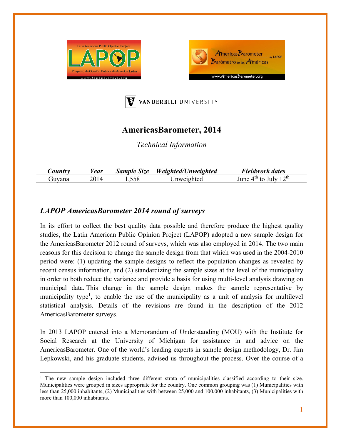





## **AmericasBarometer, 2014**

*Technical Information* 

| <i>Sountry</i> | lear | <b>Sample Size</b> | Weighted/Unweighted | Fieldwork dates                            |
|----------------|------|--------------------|---------------------|--------------------------------------------|
| Juvana         | 2014 | 1.558              | Jnweighted          | 1 $\gamma$ th<br>⊿th<br>lune<br>unlv<br>to |

## *LAPOP AmericasBarometer 2014 round of surveys*

In its effort to collect the best quality data possible and therefore produce the highest quality studies, the Latin American Public Opinion Project (LAPOP) adopted a new sample design for the AmericasBarometer 2012 round of surveys, which was also employed in 2014. The two main reasons for this decision to change the sample design from that which was used in the 2004-2010 period were: (1) updating the sample designs to reflect the population changes as revealed by recent census information, and (2) standardizing the sample sizes at the level of the municipality in order to both reduce the variance and provide a basis for using multi-level analysis drawing on municipal data. This change in the sample design makes the sample representative by municipality type<sup>1</sup>, to enable the use of the municipality as a unit of analysis for multilevel statistical analysis. Details of the revisions are found in the description of the 2012 AmericasBarometer surveys.

In 2013 LAPOP entered into a Memorandum of Understanding (MOU) with the Institute for Social Research at the University of Michigan for assistance in and advice on the AmericasBarometer. One of the world's leading experts in sample design methodology, Dr. Jim Lepkowski, and his graduate students, advised us throughout the process. Over the course of a

<sup>&</sup>lt;sup>1</sup> The new sample design included three different strata of municipalities classified according to their size. Municipalities were grouped in sizes appropriate for the country. One common grouping was (1) Municipalities with less than 25,000 inhabitants, (2) Municipalities with between 25,000 and 100,000 inhabitants, (3) Municipalities with more than 100,000 inhabitants.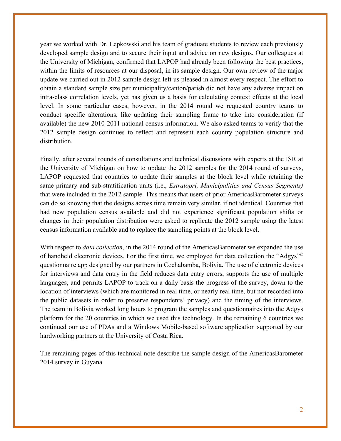year we worked with Dr. Lepkowski and his team of graduate students to review each previously developed sample design and to secure their input and advice on new designs. Our colleagues at the University of Michigan, confirmed that LAPOP had already been following the best practices, within the limits of resources at our disposal, in its sample design. Our own review of the major update we carried out in 2012 sample design left us pleased in almost every respect. The effort to obtain a standard sample size per municipality/canton/parish did not have any adverse impact on intra-class correlation levels, yet has given us a basis for calculating context effects at the local level. In some particular cases, however, in the 2014 round we requested country teams to conduct specific alterations, like updating their sampling frame to take into consideration (if available) the new 2010-2011 national census information. We also asked teams to verify that the 2012 sample design continues to reflect and represent each country population structure and distribution.

Finally, after several rounds of consultations and technical discussions with experts at the ISR at the University of Michigan on how to update the 2012 samples for the 2014 round of surveys, LAPOP requested that countries to update their samples at the block level while retaining the same primary and sub-stratification units (i.e., *Estratopri, Municipalities and Census Segments)*  that were included in the 2012 sample. This means that users of prior AmericasBarometer surveys can do so knowing that the designs across time remain very similar, if not identical. Countries that had new population census available and did not experience significant population shifts or changes in their population distribution were asked to replicate the 2012 sample using the latest census information available and to replace the sampling points at the block level.

With respect to *data collection*, in the 2014 round of the AmericasBarometer we expanded the use of handheld electronic devices. For the first time, we employed for data collection the "Adgys"© questionnaire app designed by our partners in Cochabamba, Bolivia. The use of electronic devices for interviews and data entry in the field reduces data entry errors, supports the use of multiple languages, and permits LAPOP to track on a daily basis the progress of the survey, down to the location of interviews (which are monitored in real time, or nearly real time, but not recorded into the public datasets in order to preserve respondents' privacy) and the timing of the interviews. The team in Bolivia worked long hours to program the samples and questionnaires into the Adgys platform for the 20 countries in which we used this technology. In the remaining 6 countries we continued our use of PDAs and a Windows Mobile-based software application supported by our hardworking partners at the University of Costa Rica.

The remaining pages of this technical note describe the sample design of the AmericasBarometer 2014 survey in Guyana.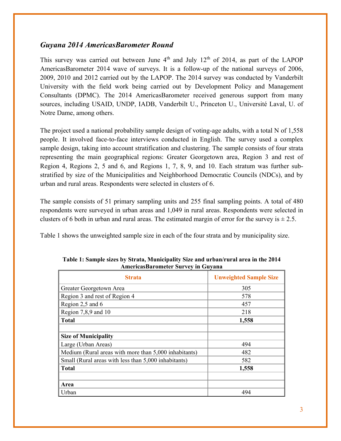## *Guyana 2014 AmericasBarometer Round*

This survey was carried out between June  $4<sup>th</sup>$  and July 12<sup>th</sup> of 2014, as part of the LAPOP AmericasBarometer 2014 wave of surveys. It is a follow-up of the national surveys of 2006, 2009, 2010 and 2012 carried out by the LAPOP. The 2014 survey was conducted by Vanderbilt University with the field work being carried out by Development Policy and Management Consultants (DPMC). The 2014 AmericasBarometer received generous support from many sources, including USAID, UNDP, IADB, Vanderbilt U., Princeton U., Université Laval, U. of Notre Dame, among others.

The project used a national probability sample design of voting-age adults, with a total N of 1,558 people. It involved face-to-face interviews conducted in English. The survey used a complex sample design, taking into account stratification and clustering. The sample consists of four strata representing the main geographical regions: Greater Georgetown area, Region 3 and rest of Region 4, Regions 2, 5 and 6, and Regions 1, 7, 8, 9, and 10. Each stratum was further substratified by size of the Municipalities and Neighborhood Democratic Councils (NDCs), and by urban and rural areas. Respondents were selected in clusters of 6.

The sample consists of 51 primary sampling units and 255 final sampling points. A total of 480 respondents were surveyed in urban areas and 1,049 in rural areas. Respondents were selected in clusters of 6 both in urban and rural areas. The estimated margin of error for the survey is  $\pm 2.5$ .

Table 1 shows the unweighted sample size in each of the four strata and by municipality size.

| <b>Strata</b>                                         | <b>Unweighted Sample Size</b> |
|-------------------------------------------------------|-------------------------------|
| Greater Georgetown Area                               | 305                           |
| Region 3 and rest of Region 4                         | 578                           |
| Region 2,5 and 6                                      | 457                           |
| Region 7,8,9 and 10                                   | 218                           |
| <b>Total</b>                                          | 1,558                         |
|                                                       |                               |
| <b>Size of Municipality</b>                           |                               |
| Large (Urban Areas)                                   | 494                           |
| Medium (Rural areas with more than 5,000 inhabitants) | 482                           |
| Small (Rural areas with less than 5,000 inhabitants)  | 582                           |
| <b>Total</b>                                          | 1,558                         |
|                                                       |                               |
| Area                                                  |                               |
| Urban                                                 | 494                           |

**Table 1: Sample sizes by Strata, Municipality Size and urban/rural area in the 2014 AmericasBarometer Survey in Guyana**